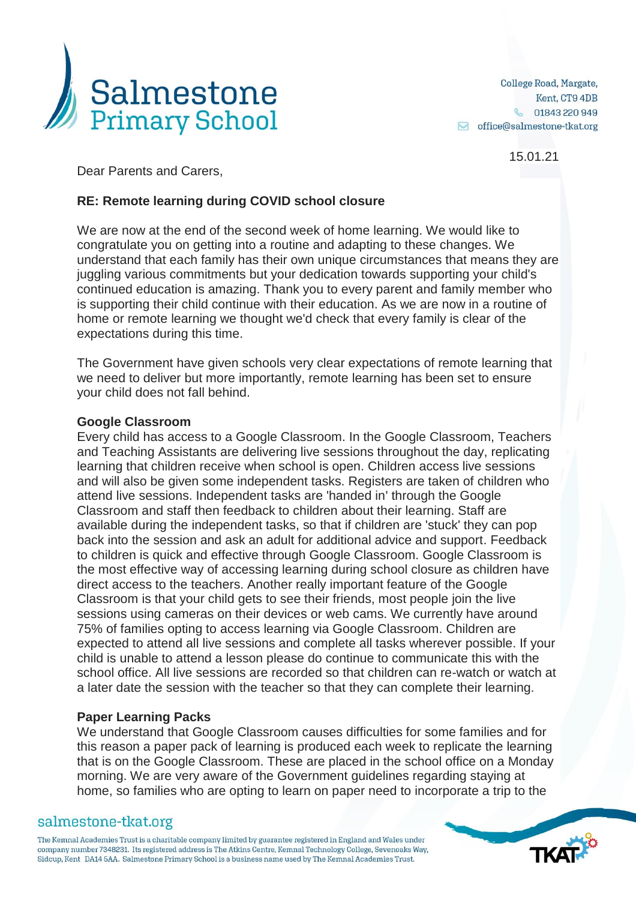

15.01.21

Dear Parents and Carers,

# **RE: Remote learning during COVID school closure**

We are now at the end of the second week of home learning. We would like to congratulate you on getting into a routine and adapting to these changes. We understand that each family has their own unique circumstances that means they are juggling various commitments but your dedication towards supporting your child's continued education is amazing. Thank you to every parent and family member who is supporting their child continue with their education. As we are now in a routine of home or remote learning we thought we'd check that every family is clear of the expectations during this time.

The Government have given schools very clear expectations of remote learning that we need to deliver but more importantly, remote learning has been set to ensure your child does not fall behind.

### **Google Classroom**

Every child has access to a Google Classroom. In the Google Classroom, Teachers and Teaching Assistants are delivering live sessions throughout the day, replicating learning that children receive when school is open. Children access live sessions and will also be given some independent tasks. Registers are taken of children who attend live sessions. Independent tasks are 'handed in' through the Google Classroom and staff then feedback to children about their learning. Staff are available during the independent tasks, so that if children are 'stuck' they can pop back into the session and ask an adult for additional advice and support. Feedback to children is quick and effective through Google Classroom. Google Classroom is the most effective way of accessing learning during school closure as children have direct access to the teachers. Another really important feature of the Google Classroom is that your child gets to see their friends, most people join the live sessions using cameras on their devices or web cams. We currently have around 75% of families opting to access learning via Google Classroom. Children are expected to attend all live sessions and complete all tasks wherever possible. If your child is unable to attend a lesson please do continue to communicate this with the school office. All live sessions are recorded so that children can re-watch or watch at a later date the session with the teacher so that they can complete their learning.

## **Paper Learning Packs**

We understand that Google Classroom causes difficulties for some families and for this reason a paper pack of learning is produced each week to replicate the learning that is on the Google Classroom. These are placed in the school office on a Monday morning. We are very aware of the Government guidelines regarding staying at home, so families who are opting to learn on paper need to incorporate a trip to the

## salmestone-tkat.org

The Kemnal Academies Trust is a charitable company limited by guarantee registered in England and Wales under company number 7348231. Its registered address is The Atkins Centre, Kemnal Technology College, Sevenoaks Way, Sidcup, Kent DA14 5AA. Salmestone Primary School is a business name used by The Kemnal Academies Trust.